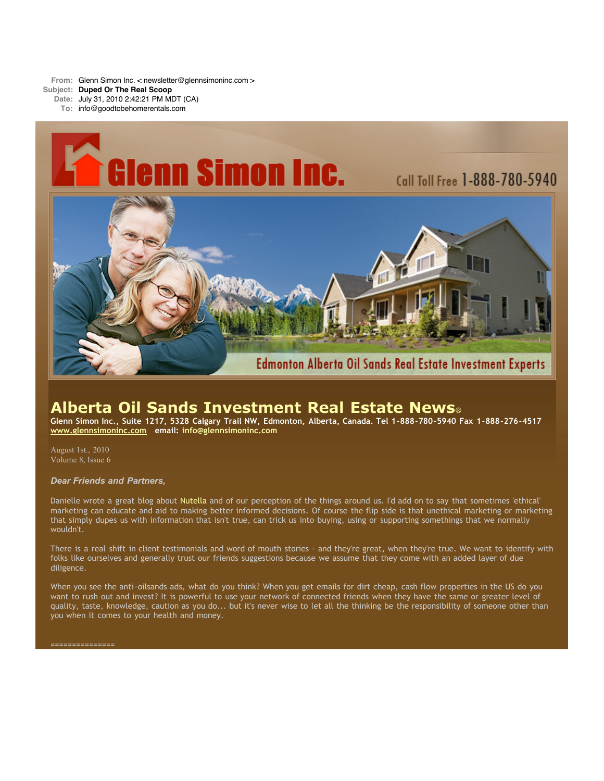**From:** Glenn Simon Inc. < newsletter@glennsimoninc.com > **Subject: Duped Or The Real Scoop**

**Date:** July 31, 2010 2:42:21 PM MDT (CA)

**To:** info@goodtobehomerentals.com



# **Alberta Oil Sands Investment Real Estate News**®

Glenn Simon Inc., Suite 1217, 5328 Calgary Trail NW, Edmonton, Alberta, Canada. Tel 1-888-780-5940 Fax 1-888-276-4517 **[www.glennsimoninc.com](http://www.glennsimoninc.com/) email: [info@glennsimoninc.com](mailto:info@glennsimoninc.com)**

August 1st., 2010 Volume 8, Issue 6

## *Dear Friends and Partners,*

Danielle wrote a great blog about [Nutella](http://www.glennsimoninc.com/EdmontonRealEstateInvestor/) and of our perception of the things around us. I'd add on to say that sometimes 'ethical' marketing can educate and aid to making better informed decisions. Of course the flip side is that unethical marketing or marketing that simply dupes us with information that isn't true, can trick us into buying, using or supporting somethings that we normally wouldn't.

There is a real shift in client testimonials and word of mouth stories - and they're great, when they're true. We want to identify with folks like ourselves and generally trust our friends suggestions because we assume that they come with an added layer of due diligence.

When you see the anti-oilsands ads, what do you think? When you get emails for dirt cheap, cash flow properties in the US do you want to rush out and invest? It is powerful to use your network of connected friends when they have the same or greater level of quality, taste, knowledge, caution as you do... but it's never wise to let all the thinking be the responsibility of someone other than you when it comes to your health and money.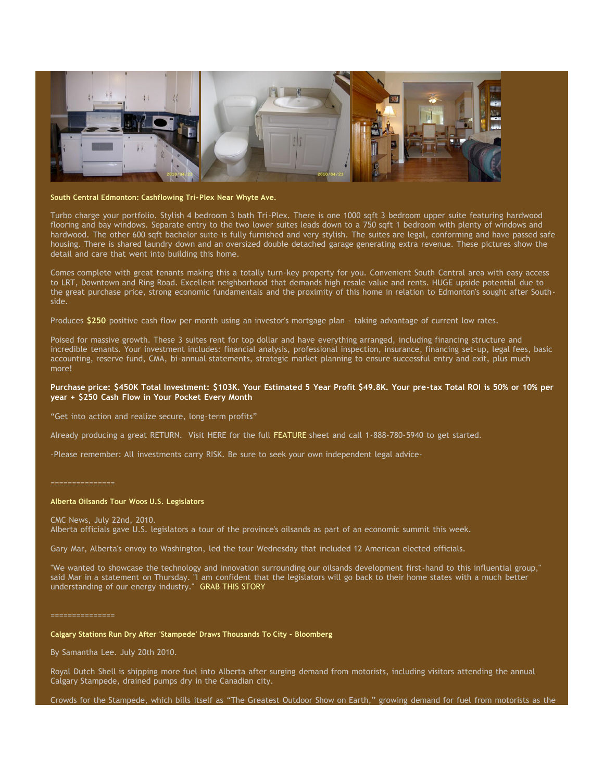

#### **South Central Edmonton: Cashflowing Tri-Plex Near Whyte Ave.**

Turbo charge your portfolio. Stylish 4 bedroom 3 bath Tri-Plex. There is one 1000 sqft 3 bedroom upper suite featuring hardwood flooring and bay windows. Separate entry to the two lower suites leads down to a 750 sqft 1 bedroom with plenty of windows and hardwood. The other 600 sqft bachelor suite is fully furnished and very stylish. The suites are legal, conforming and have passed safe housing. There is shared laundry down and an oversized double detached garage generating extra revenue. These pictures show the detail and care that went into building this home.

Comes complete with great tenants making this a totally turn-key property for you. Convenient South Central area with easy access to LRT, Downtown and Ring Road. Excellent neighborhood that demands high resale value and rents. HUGE upside potential due to the great purchase price, strong economic fundamentals and the proximity of this home in relation to Edmonton's sought after Southside.

Produces **\$250** positive cash flow per month using an investor's mortgage plan - taking advantage of current low rates.

Poised for massive growth. These 3 suites rent for top dollar and have everything arranged, including financing structure and incredible tenants. Your investment includes: financial analysis, professional inspection, insurance, financing set-up, legal fees, basic accounting, reserve fund, CMA, bi-annual statements, strategic market planning to ensure successful entry and exit, plus much more!

## Purchase price: \$450K Total [Investment:](http://www.glennsimoninc.com/featured_properties.php) \$103K. Your Estimated 5 Year Profit \$49.8K. Your pre-tax Total ROI is 50% or 10% per **year + \$250 Cash Flow in Your Pocket Every Month**

"Get into action and realize secure, long-term profits"

Already producing a great RETURN. Visit HERE for the full [FEATURE](http://www.glennsimoninc.com/featured_properties.php) sheet and call 1-888-780-5940 to get started.

-Please remember: All investments carry RISK. Be sure to seek your own independent legal advice-

#### ===============

#### **Alberta Oilsands Tour Woos U.S. Legislators**

CMC News, July 22nd, 2010. Alberta officials gave U.S. legislators a tour of the province's oilsands as part of an economic summit this week.

Gary Mar, Alberta's envoy to Washington, led the tour Wednesday that included 12 American elected officials.

"We wanted to showcase the technology and innovation surrounding our oilsands development first-hand to this influential group," said Mar in a statement on Thursday. "I am confident that the legislators will go back to their home states with a much better understanding of our energy industry." GRAB THIS [STORY](http://www.cbc.ca/canada/calgary/story/2010/07/22/alberta-oilsands-us-american-tour-critics-summit-calgary.html#ixzz0vBVt1c00)

===============

## **Calgary Stations Run Dry After 'Stampede' Draws Thousands To City - Bloomberg**

By Samantha Lee. July 20th 2010.

Royal Dutch Shell is shipping more fuel into Alberta after surging demand from motorists, including visitors attending the annual Calgary Stampede, drained pumps dry in the Canadian city.

Crowds for the Stampede, which bills itself as "The Greatest Outdoor Show on Earth," growing demand for fuel from motorists as the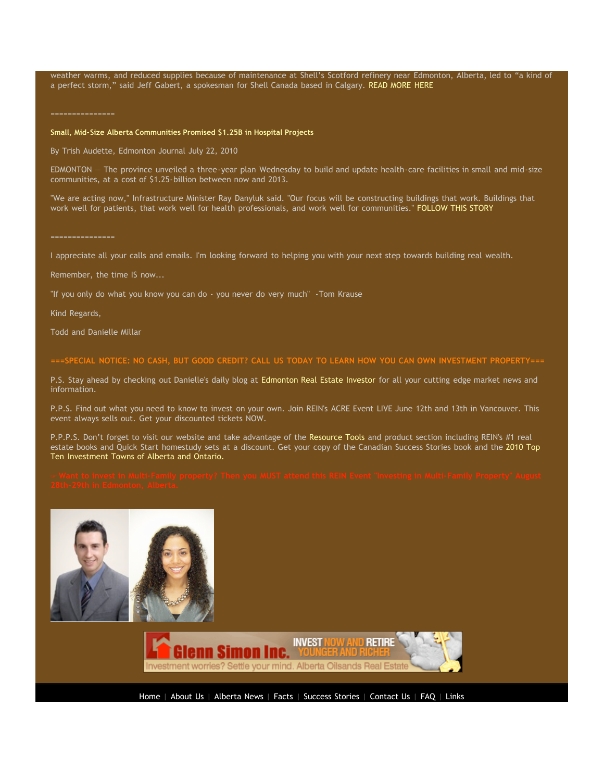weather warms, and reduced supplies because of maintenance at Shell's Scotford refinery near Edmonton, Alberta, led to "a kind of a perfect storm," said Jeff Gabert, a spokesman for Shell Canada based in Calgary. READ [MORE](http://bloomberg.com/news/print/2010-07-21/calgary-gasoline-stations-run-dry-after-stampede-draws-thousands-to-city.html) HERE

===============

### **Small, Mid-Size Alberta Communities Promised \$1.25B in Hospital Projects**

By Trish Audette, Edmonton Journal July 22, 2010

EDMONTON — The province unveiled a three-year plan Wednesday to build and update health-care facilities in small and mid-size communities, at a cost of \$1.25-billion between now and 2013.

"We are acting now," Infrastructure Minister Ray Danyluk said. "Our focus will be constructing buildings that work. Buildings that work well for patients, that work well for health professionals, and work well for communities." [FOLLOW](http://www.vancouversun.com/news/thewest/Alberta+announces+billion+health+care+spending/3305239/story.html) THIS STORY

===============

I appreciate all your calls and emails. I'm looking forward to helping you with your next step towards building real wealth.

Remember, the time IS now...

"If you only do what you know you can do - you never do very much" -Tom Krause

Kind Regards,

Todd and Danielle Millar

# ===SPECIAL NOTICE: NO CASH, BUT GOOD CREDIT? CALL US TODAY TO LEARN HOW YOU CAN OWN INVESTMENT [PROPERTY===](http://www.myreinspace.com/forums/index.php?showtopic=15535)

P.S. Stay ahead by checking out Danielle's daily blog at [Edmonton](http://www.edmontonrealestateinvestmentblog.com/) Real Estate Investor for all your cutting edge market news and information.

P.P.S. Find out what you need to know to invest on your own. Join REIN's ACRE Event LIVE June 12th and 13th in Vancouver. This event always sells out. Get your discounted tickets NOW.

P.P.P.S. Don't forget to visit our website and take advantage of the [Resource](http://www.glennsimoninc.com/page.php?id=realestatetools) Tools and product section including REIN's #1 real estate books and Quick Start homestudy sets at a discount. Get your copy of the Canadian Success Stories book and the 2010 Top Ten [Investment](http://www.realestateinvestingincanada.com/t.php?a=428147&e=p/Canadian_Specific_Real_Estate_Research_Reports/Top_Ten_Towns_Research_Report) Towns of Alberta and Ontario.





[Home](http://www.glennsimoninc.com/index.php) | [About](http://www.glennsimoninc.com/page.php?id=aboutus) Us | [Alberta](http://www.glennsimoninc.com/albertanews.php) News | [Facts](http://www.glennsimoninc.com/page.php?id=facts) | [Success](http://www.glennsimoninc.com/success-stories.php) Stories | [Contact](http://www.glennsimoninc.com/page.php?id=contactus) Us | [FAQ](http://www.glennsimoninc.com/page.php?id=faq) | [Links](http://www.glennsimoninc.com/page.php?id=links)